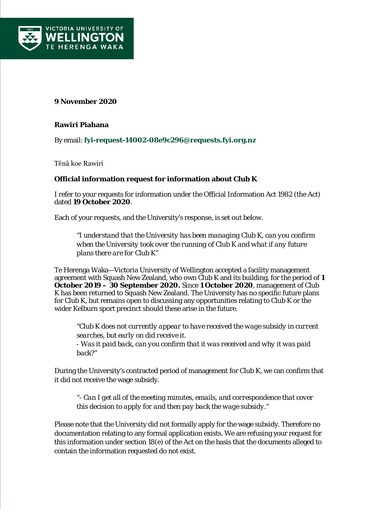

## **9 November 2020**

## **Rawiri Piahana**

By email: **[fyi-request-14002-08e9c296@requests.fyi.org.nz](mailto:xxxxxxxxxxxxxxxxxxxxxxxxxx@xxxxxxxx.xxx.xxx.xx)**

Tēnā koe Rawiri

## **Official information request for information about Club K**

I refer to your requests for information under the Official Information Act 1982 (the Act) dated **19 October 2020**.

Each of your requests, and the University's response, is set out below.

*"I understand that the University has been managing Club K, can you confirm when the University took over the running of Club K and what if any future plans there are for Club K"*

Te Herenga Waka—Victoria University of Wellington accepted a facility management agreement with Squash New Zealand, who own Club K and its building, for the period of **1 October 2019 – 30 September 2020.** Since **1 October 2020**, management of Club K has been returned to Squash New Zealand. The University has no specific future plans for Club K, but remains open to discussing any opportunities relating to Club K or the wider Kelburn sport precinct should these arise in the future.

*"Club K does not currently appear to have received the wage subsidy in current searches, but early on did receive it. - Was it paid back, can you confirm that it was received and why it was paid back?"*

During the University's contracted period of management for Club K, we can confirm that it did not receive the wage subsidy.

*"- Can I get all of the meeting minutes, emails, and correspondence that cover this decision to apply for and then pay back the wage subsidy."*

Please note that the University did not formally apply for the wage subsidy. Therefore no documentation relating to any formal application exists. We are refusing your request for this information under section 18(e) of the Act on the basis that the documents alleged to contain the information requested do not exist.